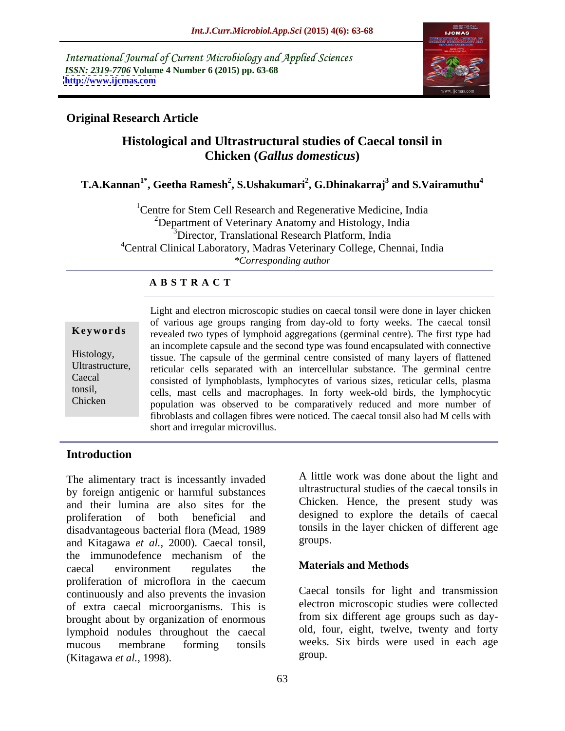International Journal of Current Microbiology and Applied Sciences *ISSN: 2319-7706* **Volume 4 Number 6 (2015) pp. 63-68 <http://www.ijcmas.com>**



# **Original Research Article**

# **Histological and Ultrastructural studies of Caecal tonsil in Chicken (***Gallus domesticus***)**

### **T.A.Kannan1\* , Geetha Ramesh<sup>2</sup> , S.Ushakumari<sup>2</sup> , G.Dhinakarraj<sup>3</sup> and S.Vairamuthu<sup>4</sup>**

<sup>1</sup>Centre for Stem Cell Research and Regenerative Medicine, India <sup>2</sup>Department of Veterinary Anatomy and Histology, India <sup>3</sup>Director, Translational Research Platform, India <sup>4</sup>Central Clinical Laboratory, Madras Veterinary College, Chennai, India *\*Corresponding author*

### **A B S T R A C T**

Chicken

Light and electron microscopic studies on caecal tonsil were done in layer chicken of various age groups ranging from day-old to forty weeks. The caecal tonsil **Keywords** revealed two types of lymphoid aggregations (germinal centre). The first type had an incomplete capsule and the second type was found encapsulated with connective Histology, tissue. The capsule of the germinal centre consisted of many layers of flattened Ultrastructure, reticular cells separated with an intercellular substance. The germinal centre consisted of lymphoblasts, lymphocytes of various sizes, reticular cells, plasma Caecal cells, mast cells and macrophages. In forty week-old birds, the lymphocytic tonsil, population was observed to be comparatively reduced and more number of fibroblasts and collagen fibres were noticed. The caecal tonsil also had M cells with short and irregular microvillus.

## **Introduction**

The alimentary tract is incessantly invaded by foreign antigenic or harmful substances and their lumina are also sites for the proliferation of both beneficial and designed to explore the details of caecal disadvantageous bacterial flora (Mead, 1989 tonsils 1<br>and Kitagawa et al. 2000). Caecal tonsil groups. and Kitagawa *et al.,* 2000). Caecal tonsil, the immunodefence mechanism of the<br>
cocool any immunor requires the **Materials and Methods** caecal environment regulates the **Materials and Methods** proliferation of microflora in the caecum continuously and also prevents the invasion of extra caecal microorganisms. This is brought about by organization of enormous lymphoid nodules throughout the caecal mucous membrane forming tonsils weeks. Six birds were used in each age (Kitagawa *et al.,* 1998).

A little work was done about the light and ultrastructural studies of the caecal tonsils in Chicken. Hence, the present study was tonsils in the layer chicken of different age groups.

### **Materials and Methods**

Caecal tonsils for light and transmission electron microscopic studies were collected from six different age groups such as day old, four, eight, twelve, twenty and forty weeks. Six birds were used in each age group. The contract of the contract of the contract of the contract of the contract of the contract of the contract of the contract of the contract of the contract of the contract of the contract of the contract of the con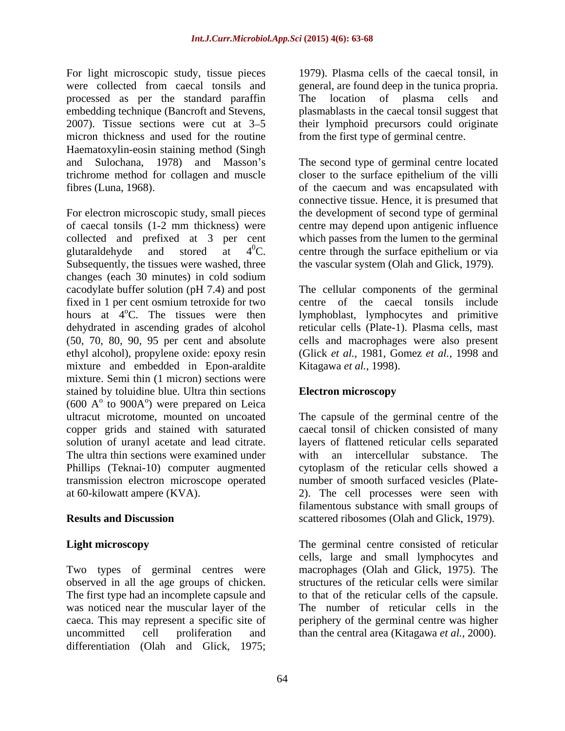For light microscopic study, tissue pieces were collected from caecal tonsils and general, are found deep in the tunica propria. processed as per the standard paraffin embedding technique (Bancroft and Stevens, plasmablasts in the caecal tonsil suggest that 2007). Tissue sections were cut at 3–5 their lymphoid precursors could originate micron thickness and used for the routine Haematoxylin-eosin staining method (Singh and Sulochana, 1978) and Masson's The second type of germinal centre located trichrome method for collagen and muscle closer to the surface epithelium of the villi

For electron microscopic study, small pieces the development of second type of germinal of caecal tonsils (1-2 mm thickness) were centre may depend upon antigenic influence collected and prefixed at 3 per cent glutaraldehyde and stored at  $4^{0}C$ . centre through the surface epithelium or via Subsequently, the tissues were washed, three changes (each 30 minutes) in cold sodium cacodylate buffer solution (pH 7.4) and post The cellular components of the germinal fixed in 1 per cent osmium tetroxide for two centre of the caecal tonsils include hours at 4<sup>o</sup>C. The tissues were then lymphoblast, lymphocytes and primitive dehydrated in ascending grades of alcohol reticular cells (Plate-1). Plasma cells, mast (50, 70, 80, 90, 95 per cent and absolute cells and macrophages were also present ethyl alcohol), propylene oxide: epoxy resin mixture and embedded in Epon-araldite mixture. Semi thin (1 micron) sections were stained by toluidine blue. Ultra thin sections **Electron microscopy**  $(600 \text{ A}^{\circ} \text{ to } 900 \text{A}^{\circ})$  were prepared on Leica to  $900A<sup>o</sup>$ ) were prepared on Leica ) were prepared on Leica ultracut microtome, mounted on uncoated The capsule of the germinal centre of the copper grids and stained with saturated solution of uranyl acetate and lead citrate. layers of flattened reticular cells separated The ultra thin sections were examined under with an intercellular substance. The Phillips (Teknai-10) computer augmented cytoplasm of the reticular cells showed a transmission electron microscope operated at 60-kilowatt ampere (KVA). 2). The cell processes were seen with

Two types of germinal centres were was noticed near the muscular layer of the The number of reticular cells in the uncommitted cell proliferation and than the central area (Kitagawa *et al.,* 2000).differentiation (Olah and Glick, 1975;

1979). Plasma cells of the caecal tonsil, in location of plasma cells from the first type of germinal centre.

fibres (Luna, 1968). of the caecum and was encapsulated with connective tissue. Hence, it is presumed that which passes from the lumen to the germinal the vascular system (Olah and Glick, 1979).

> (Glick *et al.,* 1981, Gomez *et al.,* 1998 and Kitagawa *et al.,* 1998).

### **Electron microscopy**

**Results and Discussion** scattered ribosomes (Olah and Glick, 1979). caecal tonsil of chicken consisted of many with an intercellular substance. number of smooth surfaced vesicles (Plate filamentous substance with small groups of

**Light microscopy** The germinal centre consisted of reticular observed in all the age groups of chicken. Structures of the reticular cells were similar<br>The first type had an incomplete capsule and to that of the reticular cells of the capsule. caeca. This may represent a specific site of periphery of the germinal centre was higher cells, large and small lymphocytes and macrophages (Olah and Glick, 1975). The structures of the reticular cells were similar to that of the reticular cells of the capsule.The number of reticular cells in the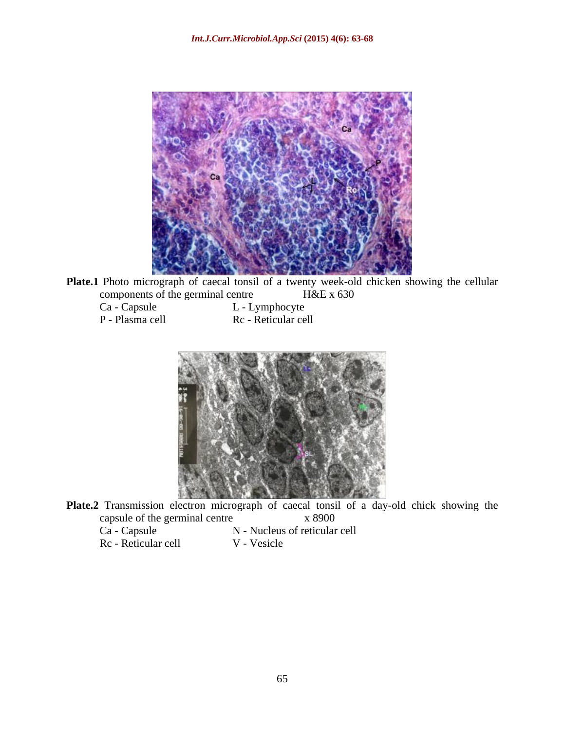

Plate.1 Photo micrograph of caecal tonsil of a twenty week-old chicken showing the cellular components of the germinal centre<br>Ca - Capsule<br>L - Lymphocyte

| Ca - Capsule    |
|-----------------|
| P - Plasma cell |

Ca - Capsule L - Lymphocyte asma cell Rc - Reticular cell



Plate.2 Transmission electron micrograph of caecal tonsil of a day-old chick showing the capsule of the germinal centre x 8900<br>Ca - Capsule N - Nucleus of reticular N - Nucleus of reticular cell

Rc - Reticular cell V - Vesicle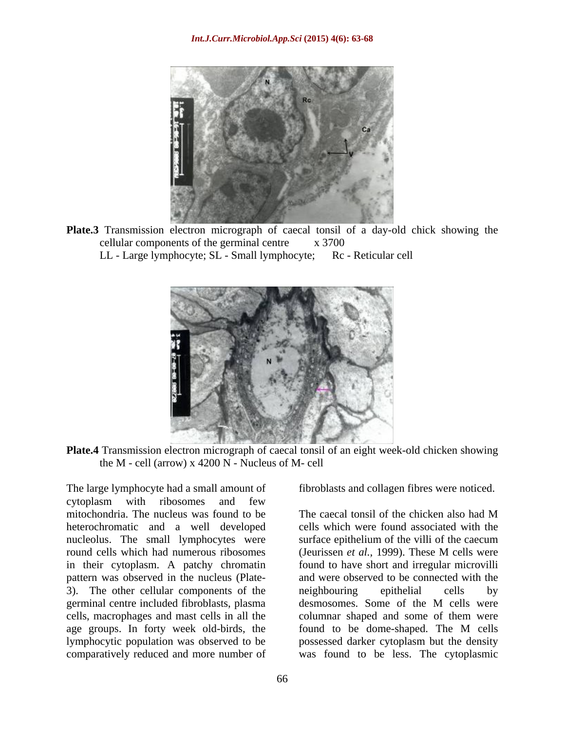

**Plate.3** Transmission electron micrograph of caecal tonsil of a day-old chick showing the cellular components of the germinal centre x 3700

LL - Large lymphocyte; SL - Small lymphocyte; Rc - Reticular cell



**Plate.4** Transmission electron micrograph of caecal tonsil of an eight week-old chicken showing the M - cell (arrow) x 4200 N - Nucleus of M- cell

The large lymphocyte had a small amount of cytoplasm with ribosomes and few mitochondria. The nucleus was found to be The caecal tonsil of the chicken also had M heterochromatic and a well developed nucleolus. The small lymphocytes were surface epithelium of the villi of the caecum round cells which had numerous ribosomes (Jeurissen *et al.,* 1999). These M cells were in their cytoplasm. A patchy chromatin pattern was observed in the nucleus (Plate- and were observed to be connected with the 3). The other cellular components of the neighbouring epithelial cells by germinal centre included fibroblasts, plasma cells, macrophages and mast cells in all the columnar shaped and some of them were age groups. In forty week old-birds, the found to be dome-shaped. The M cells lymphocytic population was observed to be possessed darker cytoplasm but the density comparatively reduced and more number of was found to be less. The cytoplasmic

fibroblasts and collagen fibres were noticed.

The caecal tonsil of the chicken also had M cells which were found associated with the found to have short and irregular microvilli neighbouring epithelial cells by desmosomes. Some of the M cells were found to be dome-shaped. The M cells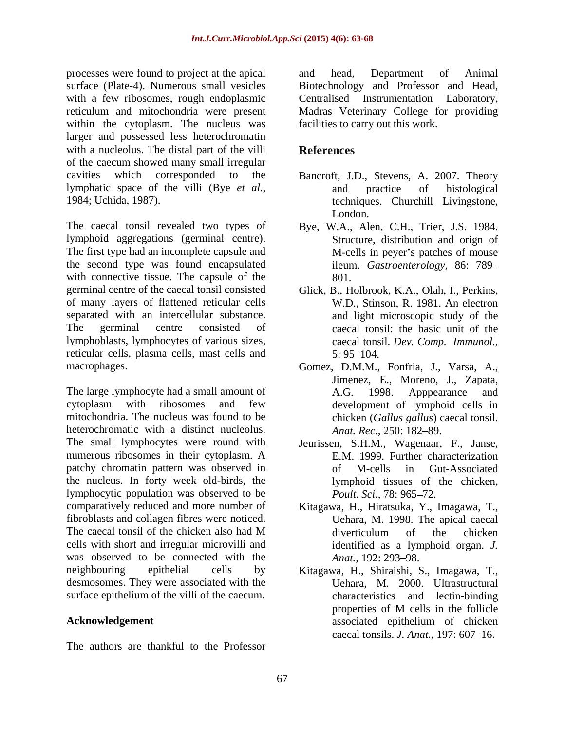processes were found to project at the apical and head, Department of Animal surface (Plate-4). Numerous small vesicles within the cytoplasm. The nucleus was larger and possessed less heterochromatin with a nucleolus. The distal part of the villi **References** of the caecum showed many small irregular cavities which corresponded to the Bancroft, J.D., Stevens, A. 2007. Theory lymphatic space of the villi (Bye *et al.,*

The caecal tonsil revealed two types of Bye, W.A., Alen, C.H., Trier, J.S. 1984. lymphoid aggregations (germinal centre). The first type had an incomplete capsule and the second type was found encapsulated with connective tissue. The capsule of the  $801$ . germinal centre of the caecal tonsil consisted of many layers of flattened reticular cells separated with an intercellular substance. The germinal centre consisted of caecal tonsil: the basic unit of the lymphoblasts, lymphocytes of various sizes, reticular cells, plasma cells, mast cells and

The large lymphocyte had a small amount of A.G. 1998. Apppearance and cytoplasm with ribosomes and few mitochondria. The nucleus was found to be chicken (*Gallus gallus*) caecal tonsil. heterochromatic with a distinct nucleolus. Anat. Rec. 250: 182–89. The small lymphocytes were round with Jeurissen, S.H.M., Wagenaar, F., Janse, numerous ribosomes in their cytoplasm. A patchy chromatin pattern was observed in the nucleus. In forty week old-birds, the lymphocytic population was observed to be *Poult. Sci.*, 78: 965–72. comparatively reduced and more number of Kitagawa, H., Hiratsuka, Y., Imagawa, T., fibroblasts and collagen fibres were noticed. The caecal tonsil of the chicken also had M cells with short and irregular microvilli and was observed to be connected with the Anat., 192: 293-98. neighbouring epithelial cells by Kitagawa, H., Shiraishi, S., Imagawa, T., desmosomes. They were associated with the surface epithelium of the villi of the caecum.

The authors are thankful to the Professor

with a few ribosomes, rough endoplasmic Centralised Instrumentation Laboratory, reticulum and mitochondria were present Madras Veterinary College for providing and head, Department of Animal Biotechnology and Professor and Head, facilities to carry out this work.

# **References**

- 1984; Uchida, 1987). techniques. Churchill Livingstone, and practice of histological London.
	- Structure, distribution and orign of M-cells in peyer's patches of mouse ileum. *Gastroenterology,* 86: 789 801.
	- Glick, B., Holbrook, K.A., Olah, I., Perkins, W.D., Stinson, R. 1981. An electron and light microscopic study of the caecal tonsil. *Dev. Comp. Immunol.,*  $5: 95 - 104.$
- macrophages. Gomez, D.M.M., Fonfria, J., Varsa, A., Jimenez, E., Moreno, J., Zapata, A.G. 1998. Apppearance and development of lymphoid cells in *Anat. Rec.,* 250: 182–89.
	- E.M. 1999. Further characterization of M-cells in Gut-Associated lymphoid tissues of the chicken, *Poult. Sci.,* 78: 965–72.
	- Uehara, M. 1998. The apical caecal diverticulum of the chicken identified as a lymphoid organ. *J. Anat.,* 192: 293–98.
- Acknowledgement associated epithelium of chicken Uehara, M. 2000. Ultrastructural characteristics and lectin-binding properties of M cells in the follicle associated epithelium of chicken caecal tonsils. *J. Anat.*, 197: 607–16.